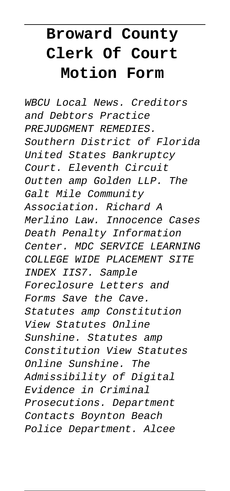# **Broward County Clerk Of Court Motion Form**

WBCU Local News. Creditors and Debtors Practice PREJUDGMENT REMEDIES. Southern District of Florida United States Bankruptcy Court. Eleventh Circuit Outten amp Golden LLP. The Galt Mile Community Association. Richard A Merlino Law. Innocence Cases Death Penalty Information Center. MDC SERVICE LEARNING COLLEGE WIDE PLACEMENT SITE INDEX IIS7. Sample Foreclosure Letters and Forms Save the Cave. Statutes amp Constitution View Statutes Online Sunshine. Statutes amp Constitution View Statutes Online Sunshine. The Admissibility of Digital Evidence in Criminal Prosecutions. Department Contacts Boynton Beach Police Department. Alcee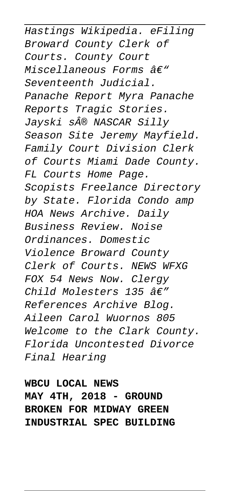Hastings Wikipedia. eFiling Broward County Clerk of Courts. County Court Miscellaneous Forms  $A\in$ " Seventeenth Judicial. Panache Report Myra Panache Reports Tragic Stories. Jayski s® NASCAR Silly Season Site Jeremy Mayfield. Family Court Division Clerk of Courts Miami Dade County. FL Courts Home Page. Scopists Freelance Directory by State. Florida Condo amp HOA News Archive. Daily Business Review. Noise Ordinances. Domestic Violence Broward County Clerk of Courts. NEWS WFXG FOX 54 News Now. Clergy Child Molesters 135  $\hat{a}\epsilon''$ References Archive Blog. Aileen Carol Wuornos 805 Welcome to the Clark County. Florida Uncontested Divorce Final Hearing

**WBCU LOCAL NEWS MAY 4TH, 2018 - GROUND BROKEN FOR MIDWAY GREEN INDUSTRIAL SPEC BUILDING**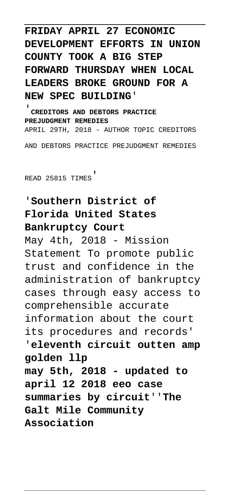**FRIDAY APRIL 27 ECONOMIC DEVELOPMENT EFFORTS IN UNION COUNTY TOOK A BIG STEP FORWARD THURSDAY WHEN LOCAL LEADERS BROKE GROUND FOR A** NEW SPEC BUILDING'

'**CREDITORS AND DEBTORS PRACTICE PREJUDGMENT REMEDIES** APRIL 29TH, 2018 - AUTHOR TOPIC CREDITORS AND DEBTORS PRACTICE PREJUDGMENT REMEDIES

READ 25815 TIMES'

### '**Southern District of Florida United States Bankruptcy Court**

May 4th, 2018 - Mission Statement To promote public trust and confidence in the administration of bankruptcy cases through easy access to comprehensible accurate information about the court its procedures and records' '**eleventh circuit outten amp golden llp may 5th, 2018 - updated to april 12 2018 eeo case summaries by circuit**''**The Galt Mile Community Association**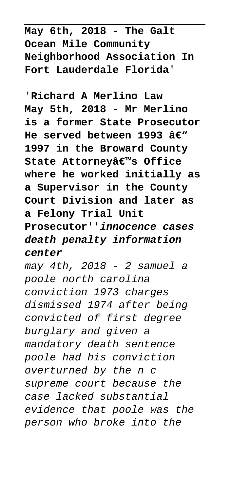**May 6th, 2018 - The Galt Ocean Mile Community Neighborhood Association In Fort Lauderdale Florida**'

'**Richard A Merlino Law May 5th, 2018 - Mr Merlino is a former State Prosecutor** He served between 1993 â€<sup>w</sup> **1997 in the Broward County** State Attorneyâ€<sup>™</sup>s Office **where he worked initially as a Supervisor in the County Court Division and later as a Felony Trial Unit Prosecutor**''**innocence cases death penalty information center**

may 4th, 2018 - 2 samuel a poole north carolina conviction 1973 charges dismissed 1974 after being convicted of first degree burglary and given a mandatory death sentence poole had his conviction overturned by the n c supreme court because the case lacked substantial evidence that poole was the person who broke into the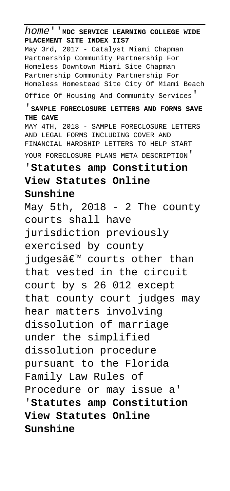home''**MDC SERVICE LEARNING COLLEGE WIDE PLACEMENT SITE INDEX IIS7** May 3rd, 2017 - Catalyst Miami Chapman Partnership Community Partnership For Homeless Downtown Miami Site Chapman Partnership Community Partnership For Homeless Homestead Site City Of Miami Beach Office Of Housing And Community Services' '**SAMPLE FORECLOSURE LETTERS AND FORMS SAVE THE CAVE** MAY 4TH, 2018 - SAMPLE FORECLOSURE LETTERS AND LEGAL FORMS INCLUDING COVER AND FINANCIAL HARDSHIP LETTERS TO HELP START YOUR FORECLOSURE PLANS META DESCRIPTION' '**Statutes amp Constitution View Statutes Online Sunshine** May 5th,  $2018 - 2$  The county courts shall have jurisdiction previously exercised by county judgesâ€<sup>™</sup> courts other than that vested in the circuit court by s 26 012 except that county court judges may hear matters involving dissolution of marriage under the simplified dissolution procedure pursuant to the Florida Family Law Rules of Procedure or may issue a' '**Statutes amp Constitution View Statutes Online Sunshine**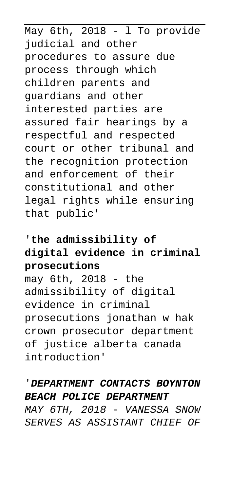May 6th, 2018 - l To provide judicial and other procedures to assure due process through which children parents and guardians and other interested parties are assured fair hearings by a respectful and respected court or other tribunal and the recognition protection and enforcement of their constitutional and other legal rights while ensuring that public'

#### '**the admissibility of digital evidence in criminal prosecutions**

may 6th, 2018 - the admissibility of digital evidence in criminal prosecutions jonathan w hak crown prosecutor department of justice alberta canada introduction'

#### '**DEPARTMENT CONTACTS BOYNTON BEACH POLICE DEPARTMENT**

MAY 6TH, 2018 - VANESSA SNOW SERVES AS ASSISTANT CHIEF OF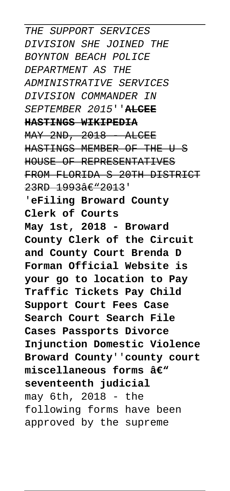THE SUPPORT SERVICES DIVISION SHE JOINED THE BOYNTON BEACH POLICE DEPARTMENT AS THE ADMINISTRATIVE SERVICES DIVISION COMMANDER IN SEPTEMBER 2015''**ALCEE HASTINGS WIKIPEDIA**  $MAY$  2ND, 2018 - ALCEE HASTINGS MEMBER OF THE U S HOUSE OF REPRESENTATIVES FROM FLORIDA S 20TH DISTRICT  $23RD 1993âE"2013'$ '**eFiling Broward County Clerk of Courts May 1st, 2018 - Broward County Clerk of the Circuit and County Court Brenda D Forman Official Website is your go to location to Pay Traffic Tickets Pay Child Support Court Fees Case Search Court Search File Cases Passports Divorce Injunction Domestic Violence Broward County**''**county court** miscellaneous forms â€<sup>w</sup> **seventeenth judicial** may 6th, 2018 - the following forms have been approved by the supreme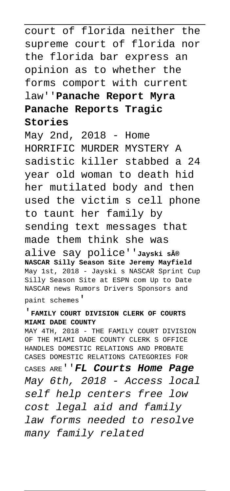court of florida neither the supreme court of florida nor the florida bar express an opinion as to whether the forms comport with current law''**Panache Report Myra Panache Reports Tragic Stories**

May 2nd, 2018 - Home HORRIFIC MURDER MYSTERY A sadistic killer stabbed a 24 year old woman to death hid her mutilated body and then used the victim s cell phone to taunt her family by sending text messages that made them think she was alive say police''**Jayski s® NASCAR Silly Season Site Jeremy Mayfield** May 1st, 2018 - Jayski s NASCAR Sprint Cup Silly Season Site at ESPN com Up to Date NASCAR news Rumors Drivers Sponsors and

paint schemes'

#### '**FAMILY COURT DIVISION CLERK OF COURTS MIAMI DADE COUNTY**

MAY 4TH, 2018 - THE FAMILY COURT DIVISION OF THE MIAMI DADE COUNTY CLERK S OFFICE HANDLES DOMESTIC RELATIONS AND PROBATE CASES DOMESTIC RELATIONS CATEGORIES FOR

CASES ARE''**FL Courts Home Page** May 6th, 2018 - Access local self help centers free low cost legal aid and family law forms needed to resolve many family related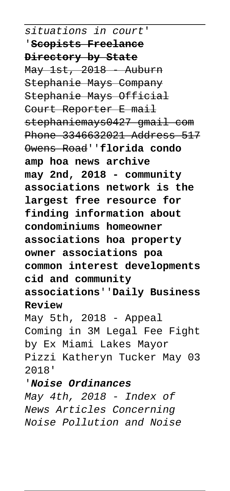situations in court'

'**Scopists Freelance Directory by State**  $M$ ay  $1st$ ,  $2018$  - Auburn Stephanie Mays Company Stephanie Mays Official Court Reporter E mail stephaniemays0427 gmail com Phone 3346632021 Address 517 Owens Road''**florida condo amp hoa news archive may 2nd, 2018 - community associations network is the largest free resource for finding information about condominiums homeowner associations hoa property owner associations poa common interest developments cid and community associations**''**Daily Business Review**

May 5th, 2018 - Appeal Coming in 3M Legal Fee Fight by Ex Miami Lakes Mayor Pizzi Katheryn Tucker May 03 2018'

'**Noise Ordinances**

May 4th, 2018 - Index of News Articles Concerning Noise Pollution and Noise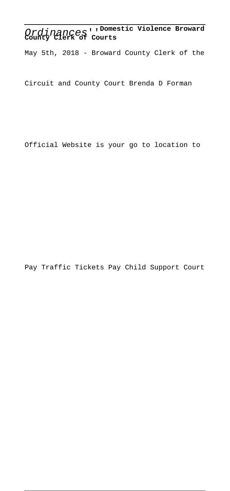## Ordinances''**Domestic Violence Broward County Clerk of Courts**

May 5th, 2018 - Broward County Clerk of the

Circuit and County Court Brenda D Forman

Official Website is your go to location to

Pay Traffic Tickets Pay Child Support Court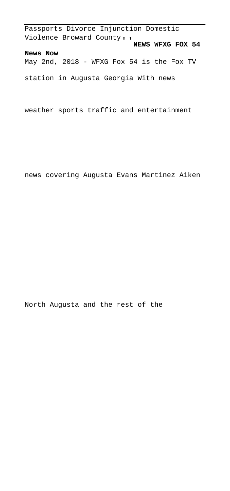Passports Divorce Injunction Domestic Violence Broward County''**NEWS WFXG FOX 54 News Now** May 2nd, 2018 - WFXG Fox 54 is the Fox TV

station in Augusta Georgia With news

weather sports traffic and entertainment

news covering Augusta Evans Martinez Aiken

North Augusta and the rest of the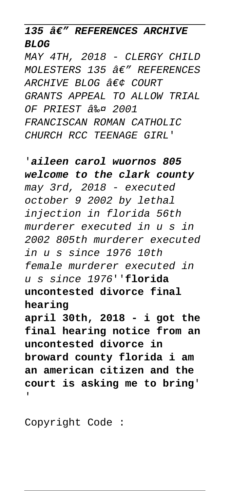**135 â€" REFERENCES ARCHIVE BLOG**

MAY 4TH, 2018 - CLERGY CHILD  $MOL$ ESTERS 135  $A\in$ " REFERENCES ARCHIVE BLOG  $\hat{A}\in\mathcal{C}$  COURT GRANTS APPEAL TO ALLOW TRIAL OF PRIEST 3%0 2001 FRANCISCAN ROMAN CATHOLIC CHURCH RCC TEENAGE GIRL'

'**aileen carol wuornos 805 welcome to the clark county** may 3rd, 2018 - executed october 9 2002 by lethal injection in florida 56th murderer executed in u s in 2002 805th murderer executed in u s since 1976 10th female murderer executed in u s since 1976''**florida uncontested divorce final hearing april 30th, 2018 - i got the**

**final hearing notice from an uncontested divorce in broward county florida i am an american citizen and the court is asking me to bring**' '

Copyright Code :